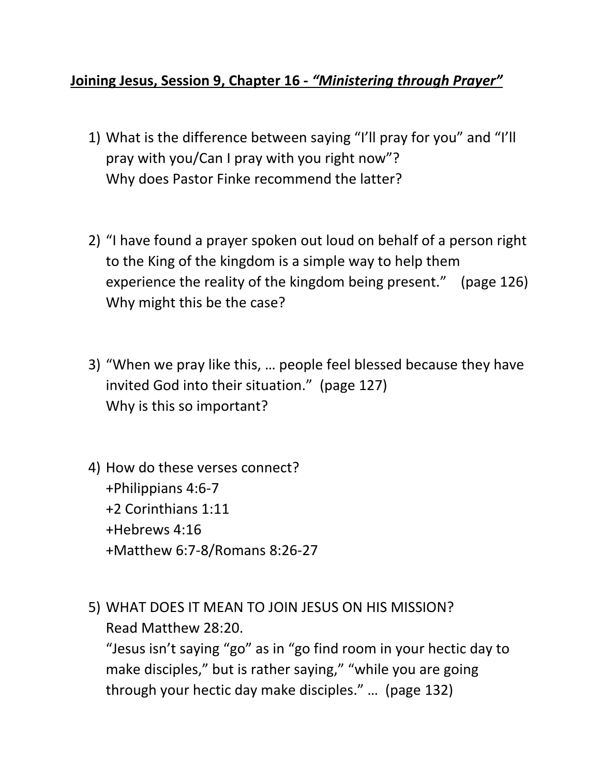## **Joining Jesus, Session 9, Chapter 16 -** *"Ministering through Prayer"*

- 1) What is the difference between saying "I'll pray for you" and "I'll pray with you/Can I pray with you right now"? Why does Pastor Finke recommend the latter?
- 2) "I have found a prayer spoken out loud on behalf of a person right to the King of the kingdom is a simple way to help them experience the reality of the kingdom being present." (page 126) Why might this be the case?
- 3) "When we pray like this, … people feel blessed because they have invited God into their situation." (page 127) Why is this so important?
- 4) How do these verses connect? +Philippians 4:6-7 +2 Corinthians 1:11 +Hebrews 4:16 +Matthew 6:7-8/Romans 8:26-27
- 5) WHAT DOES IT MEAN TO JOIN JESUS ON HIS MISSION? Read Matthew 28:20. "Jesus isn't saying "go" as in "go find room in your hectic day to make disciples," but is rather saying," "while you are going

through your hectic day make disciples." … (page 132)